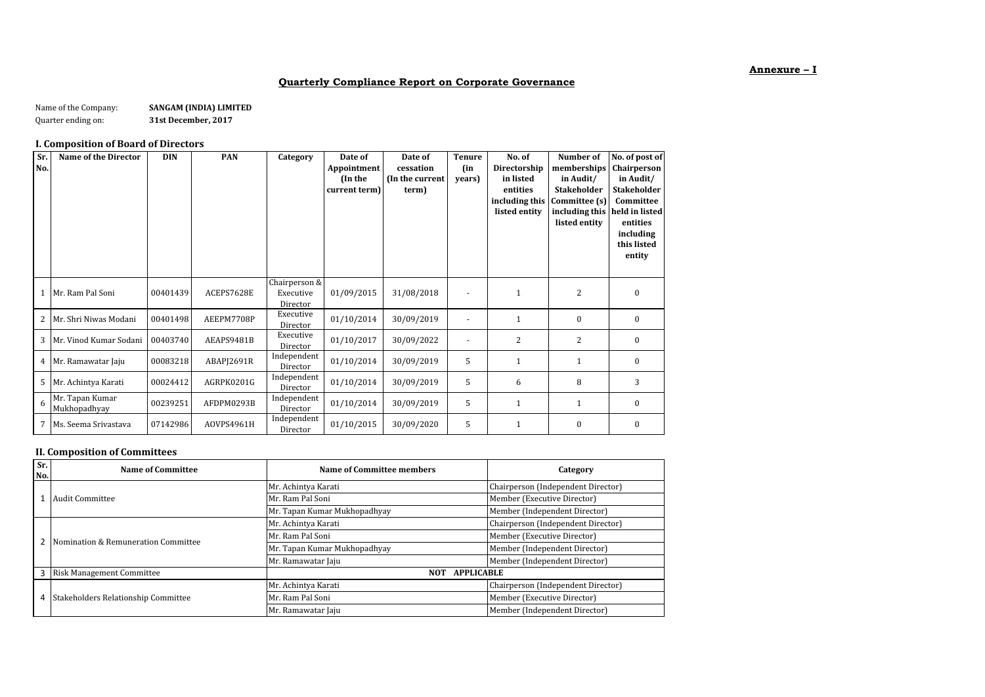### **Annexure – I**

#### **Quarterly Compliance Report on Corporate Governance**

Name of the Company: **SANGAM (INDIA) LIMITED**<br>Quarter ending on: **31st December, 2017** 

Quarter ending on: **31st December, 2017**

### **I. Composition of Board of Directors**

| Sr.<br>No. | <b>Name of the Director</b>     | <b>DIN</b> | <b>PAN</b> | Category                               | Date of<br>Appointment<br>(In the<br>current term) | Date of<br>cessation<br>(In the current<br>term) | <b>Tenure</b><br>(in<br>vears) | No. of<br>Directorship<br>in listed<br>entities<br>including this<br>listed entity | Number of<br>memberships<br>in Audit/<br><b>Stakeholder</b><br>Committee (s)<br>including this held in listed<br>listed entity | No. of post of<br>Chairperson<br>in Audit/<br><b>Stakeholder</b><br>Committee<br>entities<br>including<br>this listed<br>entity |
|------------|---------------------------------|------------|------------|----------------------------------------|----------------------------------------------------|--------------------------------------------------|--------------------------------|------------------------------------------------------------------------------------|--------------------------------------------------------------------------------------------------------------------------------|---------------------------------------------------------------------------------------------------------------------------------|
|            | 1 Mr. Ram Pal Soni              | 00401439   | ACEPS7628E | Chairperson &<br>Executive<br>Director | 01/09/2015                                         | 31/08/2018                                       |                                | $\mathbf{1}$                                                                       | $\overline{2}$                                                                                                                 | $\mathbf{0}$                                                                                                                    |
| 2          | Mr. Shri Niwas Modani           | 00401498   | AEEPM7708P | Executive<br>Director                  | 01/10/2014                                         | 30/09/2019                                       |                                | $\mathbf{1}$                                                                       | $\mathbf{0}$                                                                                                                   | $\mathbf{0}$                                                                                                                    |
|            | 3 Mr. Vinod Kumar Sodani        | 00403740   | AEAPS9481B | Executive<br>Director                  | 01/10/2017                                         | 30/09/2022                                       |                                | 2                                                                                  | $\overline{2}$                                                                                                                 | $\mathbf{0}$                                                                                                                    |
|            | 4 Mr. Ramawatar Jaju            | 00083218   | ABAPI2691R | Independent<br>Director                | 01/10/2014                                         | 30/09/2019                                       | 5                              | 1                                                                                  | $\mathbf{1}$                                                                                                                   | $\mathbf{0}$                                                                                                                    |
| 5          | Mr. Achintya Karati             | 00024412   | AGRPK0201G | Independent<br>Director                | 01/10/2014                                         | 30/09/2019                                       | 5                              | 6                                                                                  | 8                                                                                                                              | 3                                                                                                                               |
| 6          | Mr. Tapan Kumar<br>Mukhopadhyay | 00239251   | AFDPM0293B | Independent<br>Director                | 01/10/2014                                         | 30/09/2019                                       | 5                              | $\mathbf{1}$                                                                       | $\mathbf{1}$                                                                                                                   | $\mathbf{0}$                                                                                                                    |
| 7          | Ms. Seema Srivastava            | 07142986   | AOVPS4961H | Independent<br>Director                | 01/10/2015                                         | 30/09/2020                                       | 5                              | $\mathbf{1}$                                                                       | $\mathbf{0}$                                                                                                                   | $\mathbf{0}$                                                                                                                    |

#### **II. Composition of Committees**

| Sr.<br>No. | Name of Committee                   | Name of Committee members       | Category                           |  |
|------------|-------------------------------------|---------------------------------|------------------------------------|--|
|            |                                     | Mr. Achintya Karati             | Chairperson (Independent Director) |  |
|            | Audit Committee                     | Mr. Ram Pal Soni                | Member (Executive Director)        |  |
|            |                                     | Mr. Tapan Kumar Mukhopadhyay    | Member (Independent Director)      |  |
|            |                                     | Mr. Achintya Karati             | Chairperson (Independent Director) |  |
|            | Nomination & Remuneration Committee | Mr. Ram Pal Soni                | Member (Executive Director)        |  |
|            |                                     | Mr. Tapan Kumar Mukhopadhyay    |                                    |  |
|            |                                     | Mr. Ramawatar Jaju              | Member (Independent Director)      |  |
| 3          | <b>Risk Management Committee</b>    | <b>APPLICABLE</b><br><b>NOT</b> |                                    |  |
| 4          |                                     | Mr. Achintya Karati             | Chairperson (Independent Director) |  |
|            | Stakeholders Relationship Committee | Mr. Ram Pal Soni                | Member (Executive Director)        |  |
|            |                                     | Mr. Ramawatar Jaju              | Member (Independent Director)      |  |